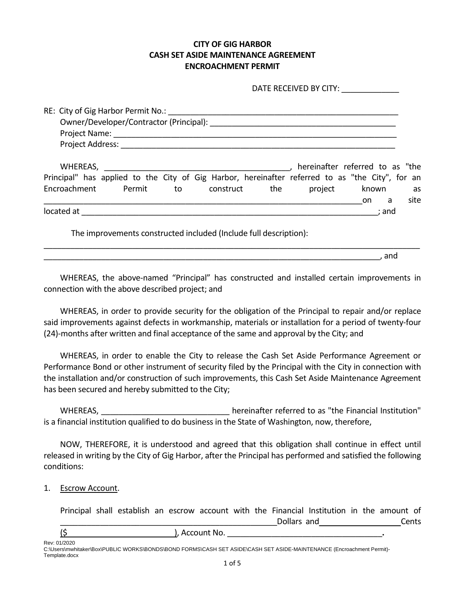## **CITY OF GIG HARBOR CASH SET ASIDE MAINTENANCE AGREEMENT ENCROACHMENT PERMIT**

|                                                                                                                                                                                                                                      |  | DATE RECEIVED BY CITY:                           |  |      |
|--------------------------------------------------------------------------------------------------------------------------------------------------------------------------------------------------------------------------------------|--|--------------------------------------------------|--|------|
|                                                                                                                                                                                                                                      |  |                                                  |  |      |
|                                                                                                                                                                                                                                      |  |                                                  |  |      |
|                                                                                                                                                                                                                                      |  |                                                  |  |      |
| Project Address: National Address: National Address: National Address: National Address: National Address: National Address: National Address: National Address: National Address: National Address: National Address: Nationa       |  |                                                  |  |      |
| Principal" has applied to the City of Gig Harbor, hereinafter referred to as "the City", for an<br>Encroachment Permit to construct the                                                                                              |  | hereinafter referred to as "the<br>project known |  | as   |
| <u>communications and the communications of the communications of the communications of the communications of the communications of the communications of the communications of the communications of the communications of the </u> |  |                                                  |  | site |
|                                                                                                                                                                                                                                      |  |                                                  |  |      |
| The improvements constructed included (Include full description):                                                                                                                                                                    |  |                                                  |  |      |

WHEREAS, the above-named "Principal" has constructed and installed certain improvements in connection with the above described project; and

\_\_\_\_\_\_\_\_\_\_\_\_\_\_\_\_\_\_\_\_\_\_\_\_\_\_\_\_\_\_\_\_\_\_\_\_\_\_\_\_\_\_\_\_\_\_\_\_\_\_\_\_\_\_\_\_\_\_\_\_\_\_\_\_\_\_\_\_\_\_\_\_\_\_\_\_, and

WHEREAS, in order to provide security for the obligation of the Principal to repair and/or replace said improvements against defects in workmanship, materials or installation for a period of twenty-four (24)-months after written and final acceptance of the same and approval by the City; and

WHEREAS, in order to enable the City to release the Cash Set Aside Performance Agreement or Performance Bond or other instrument of security filed by the Principal with the City in connection with the installation and/or construction of such improvements, this Cash Set Aside Maintenance Agreement has been secured and hereby submitted to the City;

WHEREAS, The same of the second term of the referred to as "the Financial Institution" is a financial institution qualified to do business in the State of Washington, now, therefore,

NOW, THEREFORE, it is understood and agreed that this obligation shall continue in effect until released in writing by the City of Gig Harbor, after the Principal has performed and satisfied the following conditions:

1. Escrow Account.

Principal shall establish an escrow account with the Financial Institution in the amount of \_\_\_\_\_\_\_\_\_\_\_\_\_\_\_\_\_\_\_\_\_\_\_\_\_\_\_\_\_\_\_\_\_\_\_\_\_\_\_\_\_\_\_\_\_\_\_\_\_Dollars and Cents

(\$ ), Account No. \_\_\_\_\_\_\_\_\_\_\_\_\_\_\_\_\_\_\_\_\_\_\_\_\_\_\_\_\_\_\_\_\_\_\_**.**

Rev: 01/2020 C:\Users\mwhitaker\Box\PUBLIC WORKS\BONDS\BOND FORMS\CASH SET ASIDE\CASH SET ASIDE-MAINTENANCE (Encroachment Permit)- Template.docx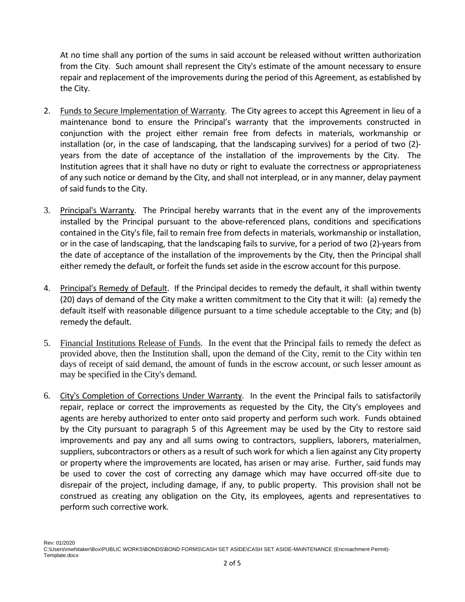At no time shall any portion of the sums in said account be released without written authorization from the City. Such amount shall represent the City's estimate of the amount necessary to ensure repair and replacement of the improvements during the period of this Agreement, as established by the City.

- 2. Funds to Secure Implementation of Warranty. The City agrees to accept this Agreement in lieu of a maintenance bond to ensure the Principal's warranty that the improvements constructed in conjunction with the project either remain free from defects in materials, workmanship or installation (or, in the case of landscaping, that the landscaping survives) for a period of two (2) years from the date of acceptance of the installation of the improvements by the City. The Institution agrees that it shall have no duty or right to evaluate the correctness or appropriateness of any such notice or demand by the City, and shall not interplead, or in any manner, delay payment of said funds to the City.
- 3. Principal's Warranty. The Principal hereby warrants that in the event any of the improvements installed by the Principal pursuant to the above-referenced plans, conditions and specifications contained in the City's file, fail to remain free from defects in materials, workmanship or installation, or in the case of landscaping, that the landscaping fails to survive, for a period of two (2)-years from the date of acceptance of the installation of the improvements by the City, then the Principal shall either remedy the default, or forfeit the funds set aside in the escrow account for this purpose.
- 4. Principal's Remedy of Default. If the Principal decides to remedy the default, it shall within twenty (20) days of demand of the City make a written commitment to the City that it will: (a) remedy the default itself with reasonable diligence pursuant to a time schedule acceptable to the City; and (b) remedy the default.
- 5. Financial Institutions Release of Funds. In the event that the Principal fails to remedy the defect as provided above, then the Institution shall, upon the demand of the City, remit to the City within ten days of receipt of said demand, the amount of funds in the escrow account, or such lesser amount as may be specified in the City's demand.
- 6. City's Completion of Corrections Under Warranty. In the event the Principal fails to satisfactorily repair, replace or correct the improvements as requested by the City, the City's employees and agents are hereby authorized to enter onto said property and perform such work. Funds obtained by the City pursuant to paragraph 5 of this Agreement may be used by the City to restore said improvements and pay any and all sums owing to contractors, suppliers, laborers, materialmen, suppliers, subcontractors or others as a result of such work for which a lien against any City property or property where the improvements are located, has arisen or may arise. Further, said funds may be used to cover the cost of correcting any damage which may have occurred off-site due to disrepair of the project, including damage, if any, to public property. This provision shall not be construed as creating any obligation on the City, its employees, agents and representatives to perform such corrective work.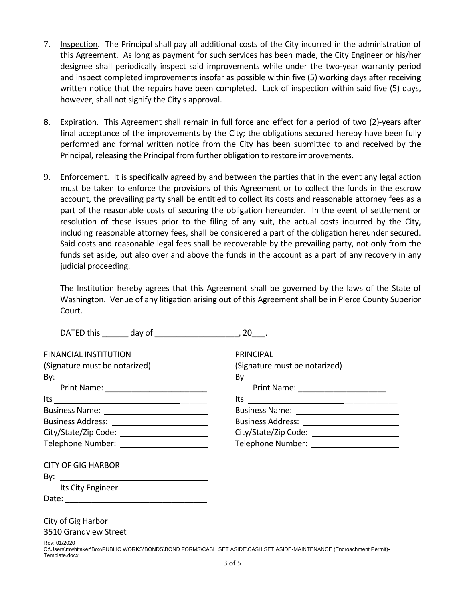- 7. Inspection. The Principal shall pay all additional costs of the City incurred in the administration of this Agreement. As long as payment for such services has been made, the City Engineer or his/her designee shall periodically inspect said improvements while under the two-year warranty period and inspect completed improvements insofar as possible within five (5) working days after receiving written notice that the repairs have been completed. Lack of inspection within said five (5) days, however, shall not signify the City's approval.
- 8. Expiration. This Agreement shall remain in full force and effect for a period of two (2)-years after final acceptance of the improvements by the City; the obligations secured hereby have been fully performed and formal written notice from the City has been submitted to and received by the Principal, releasing the Principal from further obligation to restore improvements.
- 9. Enforcement. It is specifically agreed by and between the parties that in the event any legal action must be taken to enforce the provisions of this Agreement or to collect the funds in the escrow account, the prevailing party shall be entitled to collect its costs and reasonable attorney fees as a part of the reasonable costs of securing the obligation hereunder. In the event of settlement or resolution of these issues prior to the filing of any suit, the actual costs incurred by the City, including reasonable attorney fees, shall be considered a part of the obligation hereunder secured. Said costs and reasonable legal fees shall be recoverable by the prevailing party, not only from the funds set aside, but also over and above the funds in the account as a part of any recovery in any judicial proceeding.

The Institution hereby agrees that this Agreement shall be governed by the laws of the State of Washington. Venue of any litigation arising out of this Agreement shall be in Pierce County Superior Court.

| <b>FINANCIAL INSTITUTION</b>                 | <b>PRINCIPAL</b>                                                                                                      |
|----------------------------------------------|-----------------------------------------------------------------------------------------------------------------------|
| (Signature must be notarized)                | (Signature must be notarized)                                                                                         |
|                                              | By                                                                                                                    |
|                                              | Print Name: ______________________                                                                                    |
| $Its _______$                                |                                                                                                                       |
| Business Name: _____________________________ |                                                                                                                       |
| Business Address: _________________________  | Business Address: ___________________________                                                                         |
|                                              |                                                                                                                       |
|                                              |                                                                                                                       |
| <b>CITY OF GIG HARBOR</b>                    |                                                                                                                       |
| By: $\qquad \qquad$                          |                                                                                                                       |
| Its City Engineer                            |                                                                                                                       |
|                                              |                                                                                                                       |
| City of Gig Harbor                           |                                                                                                                       |
| 3510 Grandview Street                        |                                                                                                                       |
| Rev: 01/2020<br>Template.docx                | C:\Users\mwhitaker\Box\PUBLIC WORKS\BONDS\BOND FORMS\CASH SET ASIDE\CASH SET ASIDE-MAINTENANCE (Encroachment Permit)- |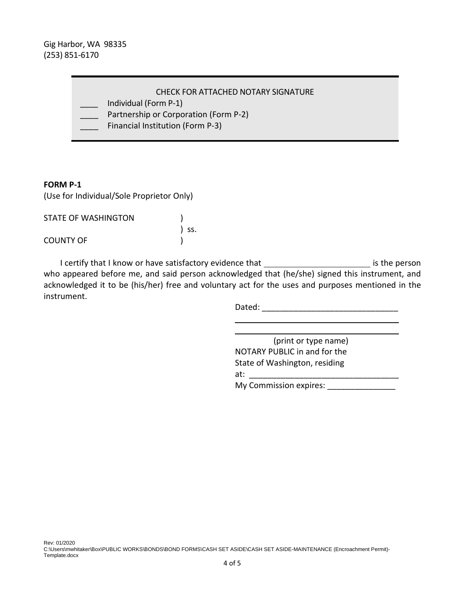Gig Harbor, WA 98335 (253) 851-6170

\_\_\_\_ Individual (Form P-1)

- \_\_\_\_ Partnership or Corporation (Form P-2)
- Financial Institution (Form P-3)

## **FORM P-1**

(Use for Individual/Sole Proprietor Only)

| <b>STATE OF WASHINGTON</b> |       |
|----------------------------|-------|
|                            | ) SS. |
| COUNTY OF                  |       |

I certify that I know or have satisfactory evidence that \_\_\_\_\_\_\_\_\_\_\_\_\_\_\_\_\_\_\_\_\_\_\_\_\_\_\_\_\_ is the person who appeared before me, and said person acknowledged that (he/she) signed this instrument, and acknowledged it to be (his/her) free and voluntary act for the uses and purposes mentioned in the instrument.

 $\overline{a}$ 

Dated: \_\_\_\_\_\_\_\_\_\_\_\_\_\_\_\_\_\_\_\_\_\_\_\_\_\_\_\_\_\_

 (print or type name) NOTARY PUBLIC in and for the State of Washington, residing at: \_\_\_\_\_\_\_\_\_\_\_\_\_\_\_\_\_\_\_\_\_\_\_\_\_\_\_\_\_\_\_\_\_

My Commission expires: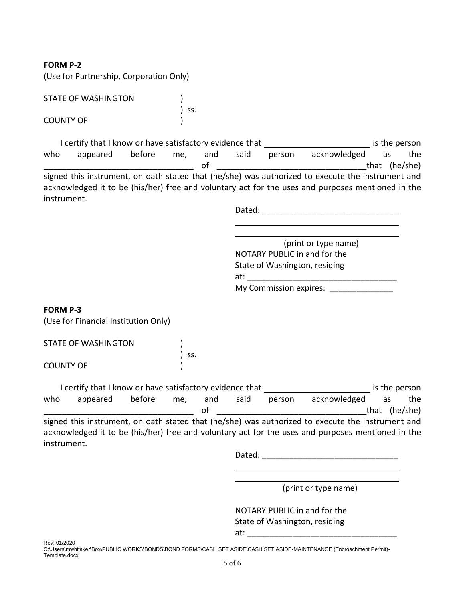**FORM P-2**

(Use for Partnership, Corporation Only)

| STATE OF WASHINGTON |       |
|---------------------|-------|
|                     | ) SS. |
| COUNTY OF           |       |

I certify that I know or have satisfactory evidence that **I cell and COV** is the person who appeared before me, and said person acknowledged as the of that  $(he/she)$ signed this instrument, on oath stated that (he/she) was authorized to execute the instrument and acknowledged it to be (his/her) free and voluntary act for the uses and purposes mentioned in the instrument.

Dated:  $\Box$ 

l (print or type name) NOTARY PUBLIC in and for the State of Washington, residing at: \_\_\_\_\_\_\_\_\_\_\_\_\_\_\_\_\_\_\_\_\_\_\_\_\_\_\_\_\_\_\_\_\_

l

My Commission expires:

## **FORM P-3**

(Use for Financial Institution Only)

| STATE OF WASHINGTON |       |  |
|---------------------|-------|--|
|                     | ) SS. |  |
| COUNTY OF           |       |  |

I certify that I know or have satisfactory evidence that **interlare and interest in the person** who appeared before me, and said person acknowledged as the of that  $(he/she)$ signed this instrument, on oath stated that (he/she) was authorized to execute the instrument and acknowledged it to be (his/her) free and voluntary act for the uses and purposes mentioned in the

instrument.

(print or type name)

l

NOTARY PUBLIC in and for the State of Washington, residing  $at:$ 

l

Rev: 01/2020 C:\Users\mwhitaker\Box\PUBLIC WORKS\BONDS\BOND FORMS\CASH SET ASIDE\CASH SET ASIDE-MAINTENANCE (Encroachment Permit)-Template.docx